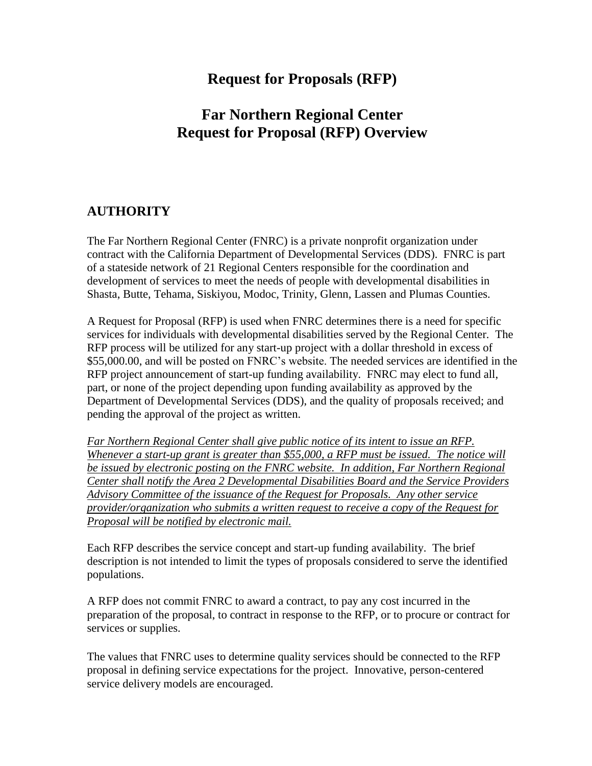# **Request for Proposals (RFP)**

# **Far Northern Regional Center Request for Proposal (RFP) Overview**

## **AUTHORITY**

The Far Northern Regional Center (FNRC) is a private nonprofit organization under contract with the California Department of Developmental Services (DDS). FNRC is part of a stateside network of 21 Regional Centers responsible for the coordination and development of services to meet the needs of people with developmental disabilities in Shasta, Butte, Tehama, Siskiyou, Modoc, Trinity, Glenn, Lassen and Plumas Counties.

A Request for Proposal (RFP) is used when FNRC determines there is a need for specific services for individuals with developmental disabilities served by the Regional Center. The RFP process will be utilized for any start-up project with a dollar threshold in excess of \$55,000.00, and will be posted on FNRC's website. The needed services are identified in the RFP project announcement of start-up funding availability. FNRC may elect to fund all, part, or none of the project depending upon funding availability as approved by the Department of Developmental Services (DDS), and the quality of proposals received; and pending the approval of the project as written.

*Far Northern Regional Center shall give public notice of its intent to issue an RFP. Whenever a start-up grant is greater than \$55,000, a RFP must be issued. The notice will be issued by electronic posting on the FNRC website. In addition, Far Northern Regional Center shall notify the Area 2 Developmental Disabilities Board and the Service Providers Advisory Committee of the issuance of the Request for Proposals. Any other service provider/organization who submits a written request to receive a copy of the Request for Proposal will be notified by electronic mail.* 

Each RFP describes the service concept and start-up funding availability. The brief description is not intended to limit the types of proposals considered to serve the identified populations.

A RFP does not commit FNRC to award a contract, to pay any cost incurred in the preparation of the proposal, to contract in response to the RFP, or to procure or contract for services or supplies.

The values that FNRC uses to determine quality services should be connected to the RFP proposal in defining service expectations for the project. Innovative, person-centered service delivery models are encouraged.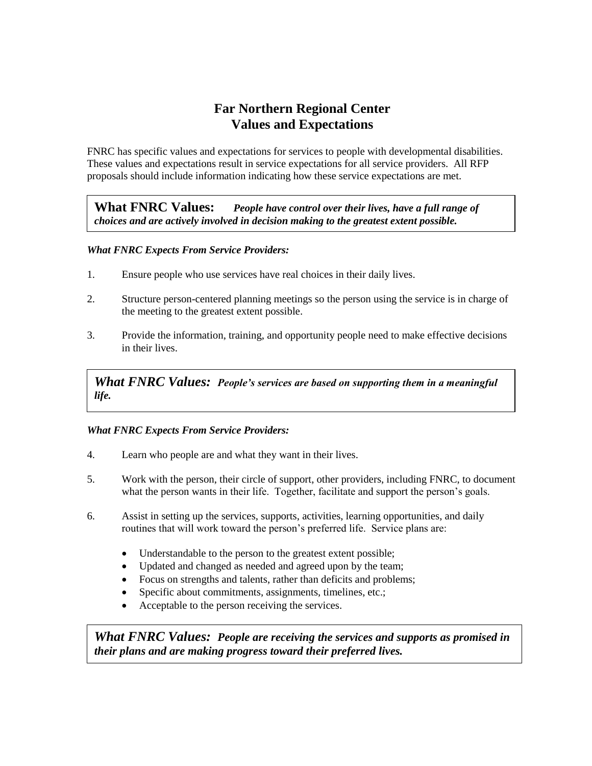# **Far Northern Regional Center Values and Expectations**

FNRC has specific values and expectations for services to people with developmental disabilities. These values and expectations result in service expectations for all service providers. All RFP proposals should include information indicating how these service expectations are met.

**What FNRC Values:** *People have control over their lives, have a full range of choices and are actively involved in decision making to the greatest extent possible.* 

### *What FNRC Expects From Service Providers:*

- 1. Ensure people who use services have real choices in their daily lives.
- 2. Structure person-centered planning meetings so the person using the service is in charge of the meeting to the greatest extent possible.
- 3. Provide the information, training, and opportunity people need to make effective decisions in their lives.

*What FNRC Values: People's services are based on supporting them in a meaningful life.*

#### *What FNRC Expects From Service Providers:*

- 4. Learn who people are and what they want in their lives.
- 5. Work with the person, their circle of support, other providers, including FNRC, to document what the person wants in their life. Together, facilitate and support the person's goals.
- 6. Assist in setting up the services, supports, activities, learning opportunities, and daily routines that will work toward the person's preferred life. Service plans are:
	- Understandable to the person to the greatest extent possible;
	- Updated and changed as needed and agreed upon by the team;
	- Focus on strengths and talents, rather than deficits and problems;
	- Specific about commitments, assignments, timelines, etc.;
	- Acceptable to the person receiving the services.

*What FNRC Values: People are receiving the services and supports as promised in their plans and are making progress toward their preferred lives.*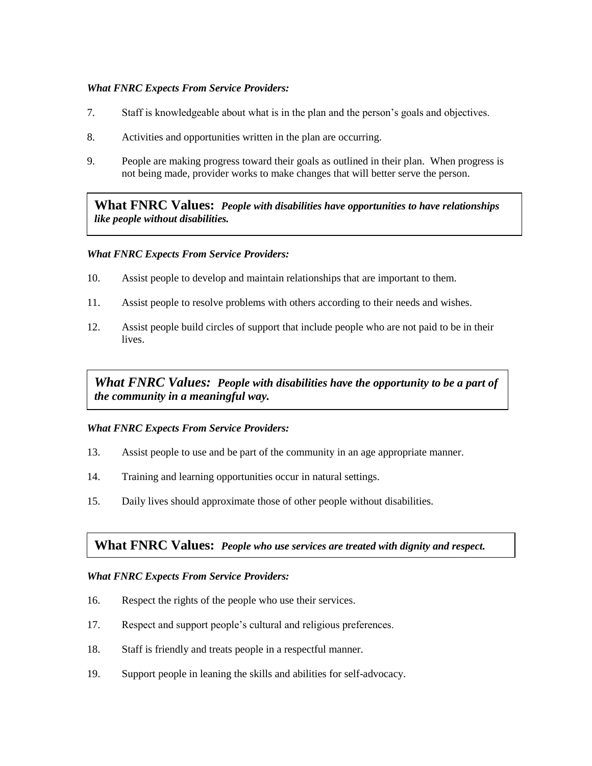#### *What FNRC Expects From Service Providers:*

- 7. Staff is knowledgeable about what is in the plan and the person's goals and objectives.
- 8. Activities and opportunities written in the plan are occurring.
- 9. People are making progress toward their goals as outlined in their plan. When progress is not being made, provider works to make changes that will better serve the person.

**What FNRC Values:** *People with disabilities have opportunities to have relationships like people without disabilities.* 

#### *What FNRC Expects From Service Providers:*

- 10. Assist people to develop and maintain relationships that are important to them.
- 11. Assist people to resolve problems with others according to their needs and wishes.
- 12. Assist people build circles of support that include people who are not paid to be in their lives.

*What FNRC Values: People with disabilities have the opportunity to be a part of the community in a meaningful way.* 

### *What FNRC Expects From Service Providers:*

- 13. Assist people to use and be part of the community in an age appropriate manner.
- 14. Training and learning opportunities occur in natural settings.
- 15. Daily lives should approximate those of other people without disabilities.

### **What FNRC Values:** *People who use services are treated with dignity and respect.*

#### *What FNRC Expects From Service Providers:*

- 16. Respect the rights of the people who use their services.
- 17. Respect and support people's cultural and religious preferences.
- 18. Staff is friendly and treats people in a respectful manner.
- 19. Support people in leaning the skills and abilities for self-advocacy.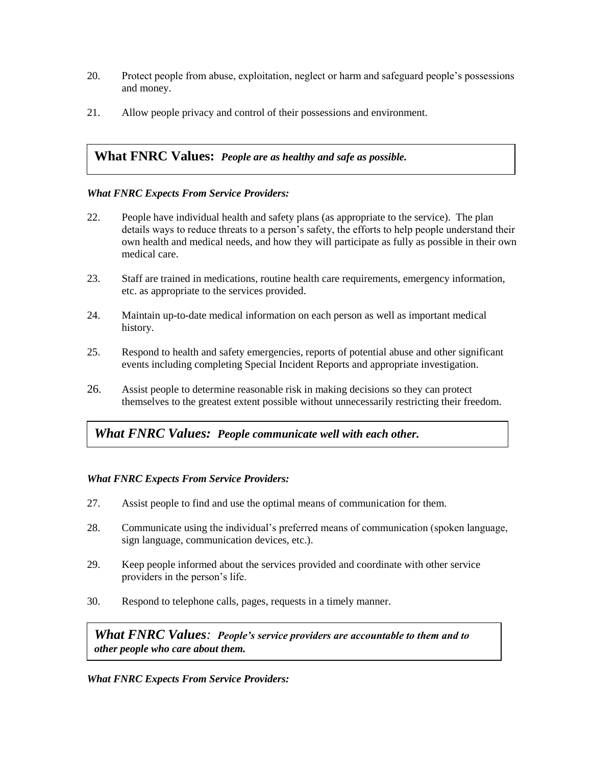- 20. Protect people from abuse, exploitation, neglect or harm and safeguard people's possessions and money.
- 21. Allow people privacy and control of their possessions and environment.

## **What FNRC Values:** *People are as healthy and safe as possible.*

#### *What FNRC Expects From Service Providers:*

- 22. People have individual health and safety plans (as appropriate to the service). The plan details ways to reduce threats to a person's safety, the efforts to help people understand their own health and medical needs, and how they will participate as fully as possible in their own medical care.
- 23. Staff are trained in medications, routine health care requirements, emergency information, etc. as appropriate to the services provided.
- 24. Maintain up-to-date medical information on each person as well as important medical history.
- 25. Respond to health and safety emergencies, reports of potential abuse and other significant events including completing Special Incident Reports and appropriate investigation.
- 26. Assist people to determine reasonable risk in making decisions so they can protect themselves to the greatest extent possible without unnecessarily restricting their freedom.

## *What FNRC Values: People communicate well with each other.*

### *What FNRC Expects From Service Providers:*

- 27. Assist people to find and use the optimal means of communication for them.
- 28. Communicate using the individual's preferred means of communication (spoken language, sign language, communication devices, etc.).
- 29. Keep people informed about the services provided and coordinate with other service providers in the person's life.
- 30. Respond to telephone calls, pages, requests in a timely manner.

*What FNRC Values: People's service providers are accountable to them and to other people who care about them.* 

### *What FNRC Expects From Service Providers:*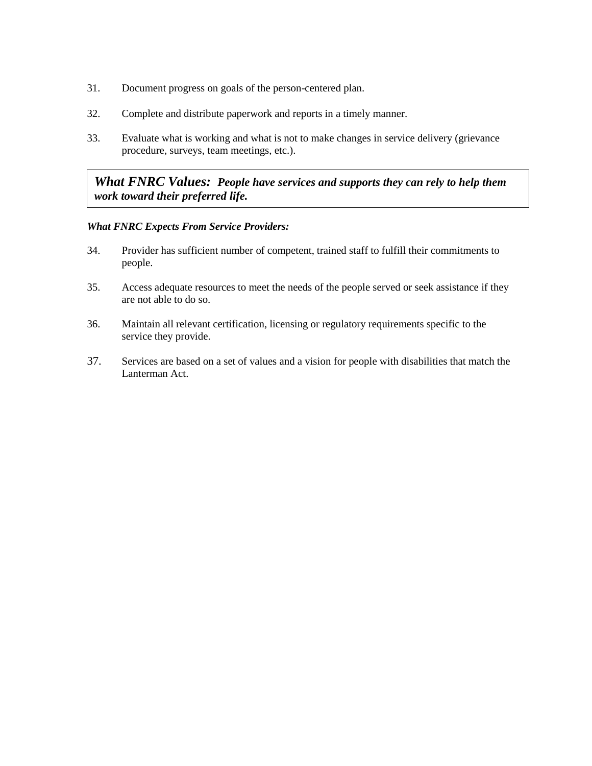- 31. Document progress on goals of the person-centered plan.
- 32. Complete and distribute paperwork and reports in a timely manner.
- 33. Evaluate what is working and what is not to make changes in service delivery (grievance procedure, surveys, team meetings, etc.).

## *What FNRC Values: People have services and supports they can rely to help them work toward their preferred life.*

#### *What FNRC Expects From Service Providers:*

- 34. Provider has sufficient number of competent, trained staff to fulfill their commitments to people.
- 35. Access adequate resources to meet the needs of the people served or seek assistance if they are not able to do so.
- 36. Maintain all relevant certification, licensing or regulatory requirements specific to the service they provide.
- 37. Services are based on a set of values and a vision for people with disabilities that match the Lanterman Act.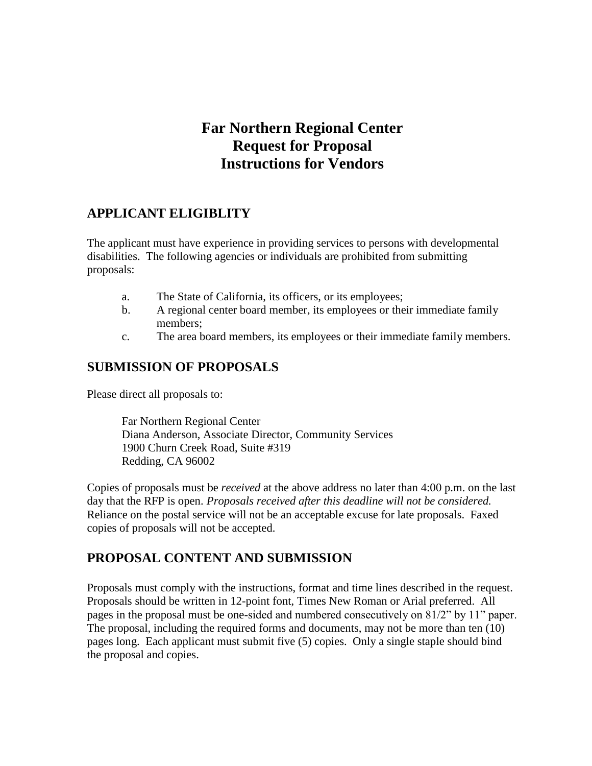# **Far Northern Regional Center Request for Proposal Instructions for Vendors**

## **APPLICANT ELIGIBLITY**

The applicant must have experience in providing services to persons with developmental disabilities. The following agencies or individuals are prohibited from submitting proposals:

- a. The State of California, its officers, or its employees;
- b. A regional center board member, its employees or their immediate family members;
- c. The area board members, its employees or their immediate family members.

## **SUBMISSION OF PROPOSALS**

Please direct all proposals to:

Far Northern Regional Center Diana Anderson, Associate Director, Community Services 1900 Churn Creek Road, Suite #319 Redding, CA 96002

Copies of proposals must be *received* at the above address no later than 4:00 p.m. on the last day that the RFP is open. *Proposals received after this deadline will not be considered.* Reliance on the postal service will not be an acceptable excuse for late proposals. Faxed copies of proposals will not be accepted.

# **PROPOSAL CONTENT AND SUBMISSION**

Proposals must comply with the instructions, format and time lines described in the request. Proposals should be written in 12-point font, Times New Roman or Arial preferred. All pages in the proposal must be one-sided and numbered consecutively on 81/2" by 11" paper. The proposal, including the required forms and documents, may not be more than ten (10) pages long. Each applicant must submit five (5) copies. Only a single staple should bind the proposal and copies.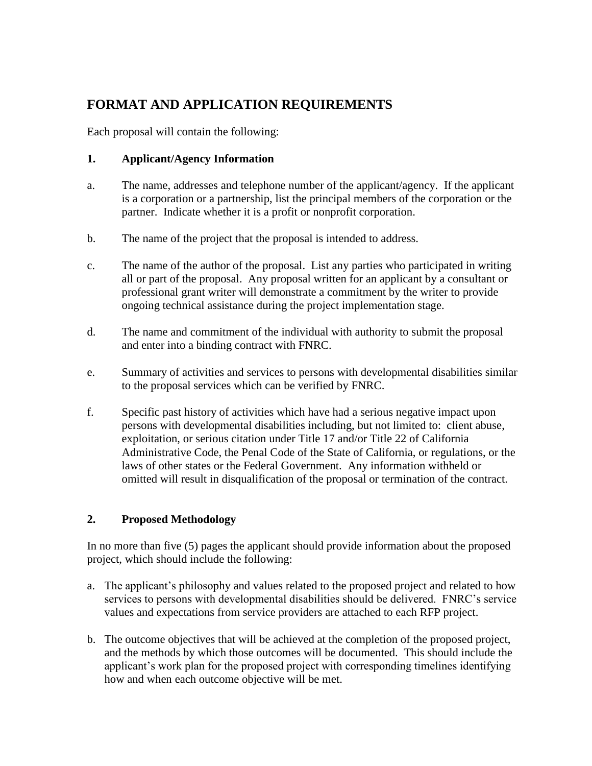# **FORMAT AND APPLICATION REQUIREMENTS**

Each proposal will contain the following:

## **1. Applicant/Agency Information**

- a. The name, addresses and telephone number of the applicant/agency. If the applicant is a corporation or a partnership, list the principal members of the corporation or the partner. Indicate whether it is a profit or nonprofit corporation.
- b. The name of the project that the proposal is intended to address.
- c. The name of the author of the proposal. List any parties who participated in writing all or part of the proposal. Any proposal written for an applicant by a consultant or professional grant writer will demonstrate a commitment by the writer to provide ongoing technical assistance during the project implementation stage.
- d. The name and commitment of the individual with authority to submit the proposal and enter into a binding contract with FNRC.
- e. Summary of activities and services to persons with developmental disabilities similar to the proposal services which can be verified by FNRC.
- f. Specific past history of activities which have had a serious negative impact upon persons with developmental disabilities including, but not limited to: client abuse, exploitation, or serious citation under Title 17 and/or Title 22 of California Administrative Code, the Penal Code of the State of California, or regulations, or the laws of other states or the Federal Government. Any information withheld or omitted will result in disqualification of the proposal or termination of the contract.

## **2. Proposed Methodology**

In no more than five (5) pages the applicant should provide information about the proposed project, which should include the following:

- a. The applicant's philosophy and values related to the proposed project and related to how services to persons with developmental disabilities should be delivered. FNRC's service values and expectations from service providers are attached to each RFP project.
- b. The outcome objectives that will be achieved at the completion of the proposed project, and the methods by which those outcomes will be documented. This should include the applicant's work plan for the proposed project with corresponding timelines identifying how and when each outcome objective will be met.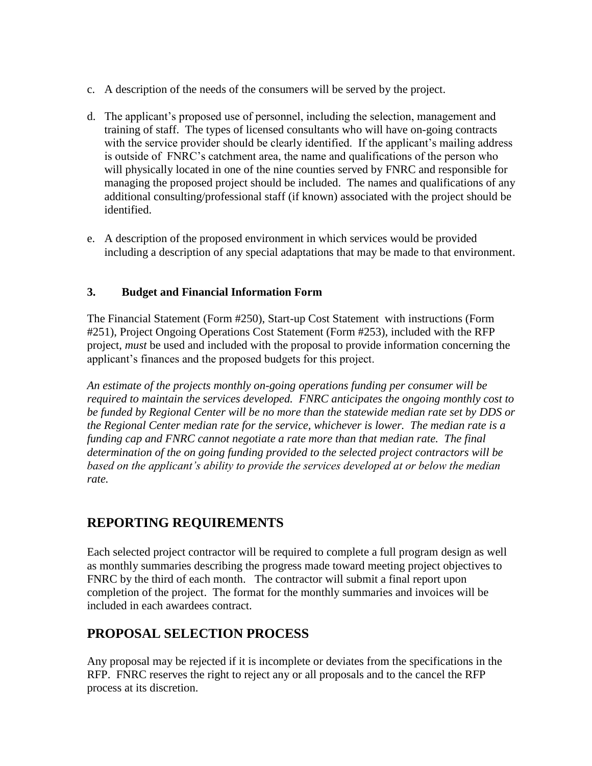- c. A description of the needs of the consumers will be served by the project.
- d. The applicant's proposed use of personnel, including the selection, management and training of staff. The types of licensed consultants who will have on-going contracts with the service provider should be clearly identified. If the applicant's mailing address is outside of FNRC's catchment area, the name and qualifications of the person who will physically located in one of the nine counties served by FNRC and responsible for managing the proposed project should be included. The names and qualifications of any additional consulting/professional staff (if known) associated with the project should be identified.
- e. A description of the proposed environment in which services would be provided including a description of any special adaptations that may be made to that environment.

## **3. Budget and Financial Information Form**

The Financial Statement (Form #250), Start-up Cost Statement with instructions (Form #251), Project Ongoing Operations Cost Statement (Form #253), included with the RFP project, *must* be used and included with the proposal to provide information concerning the applicant's finances and the proposed budgets for this project.

*An estimate of the projects monthly on-going operations funding per consumer will be required to maintain the services developed. FNRC anticipates the ongoing monthly cost to be funded by Regional Center will be no more than the statewide median rate set by DDS or the Regional Center median rate for the service, whichever is lower. The median rate is a funding cap and FNRC cannot negotiate a rate more than that median rate. The final determination of the on going funding provided to the selected project contractors will be based on the applicant's ability to provide the services developed at or below the median rate.*

# **REPORTING REQUIREMENTS**

Each selected project contractor will be required to complete a full program design as well as monthly summaries describing the progress made toward meeting project objectives to FNRC by the third of each month. The contractor will submit a final report upon completion of the project. The format for the monthly summaries and invoices will be included in each awardees contract.

# **PROPOSAL SELECTION PROCESS**

Any proposal may be rejected if it is incomplete or deviates from the specifications in the RFP. FNRC reserves the right to reject any or all proposals and to the cancel the RFP process at its discretion.